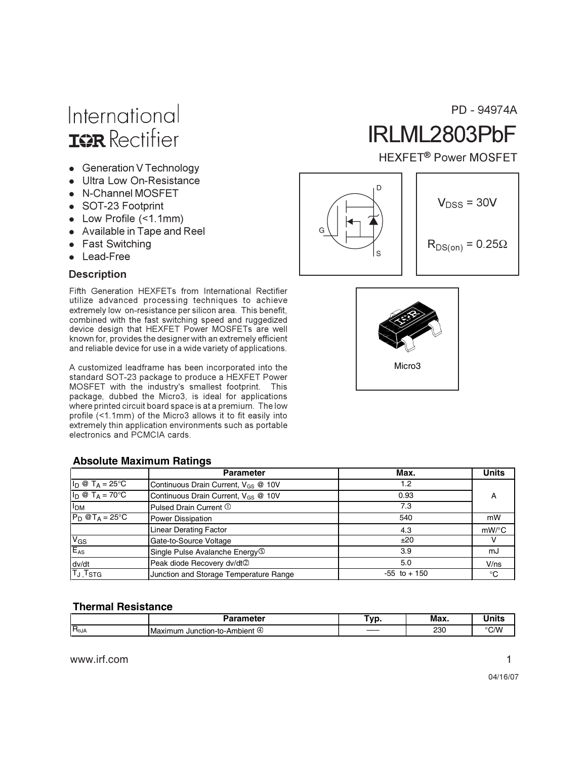- Generation V Technology
- Ultra Low On-Resistance
- N-Channel MOSFET
- SOT-23 Footprint
- Low Profile (<1.1mm)
- Available in Tape and Reel
- Fast Switching
- Lead-Free

#### **Description**

Fifth Generation HEXFETs from International Rectifier utilize advanced processing techniques to achieve extremely low on-resistance per silicon area. This benefit, combined with the fast switching speed and ruggedized device design that HEXFET Power MOSFETs are well known for, provides the designer with an extremely efficient and reliable device for use in a wide variety of applications.

A customized leadframe has been incorporated into the standard SOT-23 package to produce a HEXFET Power MOSFET with the industry's smallest footprint. This package, dubbed the Micro3, is ideal for applications where printed circuit board space is at a premium. The low profile (<1.1mm) of the Micro3 allows it to fit easily into extremely thin application environments such as portable electronics and PCMCIA cards.

#### **Absolute Maximum Ratings**

|                                   | <b>Parameter</b>                                | Max.            | <b>Units</b> |
|-----------------------------------|-------------------------------------------------|-----------------|--------------|
| $I_D @ T_A = 25^{\circ}C$         | Continuous Drain Current, $V_{GS}$ @ 10V        | 1.2             |              |
| $I_D @ T_A = 70^\circ C$          | Continuous Drain Current, V <sub>GS</sub> @ 10V | 0.93            | A            |
| I <sub>DM</sub>                   | Pulsed Drain Current 1                          | 7.3             |              |
| $P_D$ @T <sub>A</sub> = 25°C      | Power Dissipation                               | 540             | mW           |
|                                   | <b>Linear Derating Factor</b>                   | 4.3             | mW/°C        |
| $V_{GS}$                          | Gate-to-Source Voltage                          | ±20             |              |
| $E_{AS}$                          | Single Pulse Avalanche Energy <sup>(5)</sup>    | 3.9             | mJ           |
| dv/dt                             | Peak diode Recovery dv/dt2                      | 5.0             | V/ns         |
| T <sub>J</sub> , T <sub>STG</sub> | Junction and Storage Temperature Range          | $-55$ to $+150$ | °C           |

#### **Thermal Resistance**

|                  | Parameter                                 | ⊺vr<br>. w | Max.       | .   |
|------------------|-------------------------------------------|------------|------------|-----|
| $IR_{\theta JA}$ | .nt ④<br>Junction-to-Ambient (<br>Maximum | ____       | 230<br>___ | ີ∕W |

www.irf.com 1

# IRLML2803PbF PD - 94974A

#### HEXFET<sup>®</sup> Power MOSFET



$$
V_{DSS} = 30V
$$

 $R_{DS(on)} = 0.25\Omega$ 

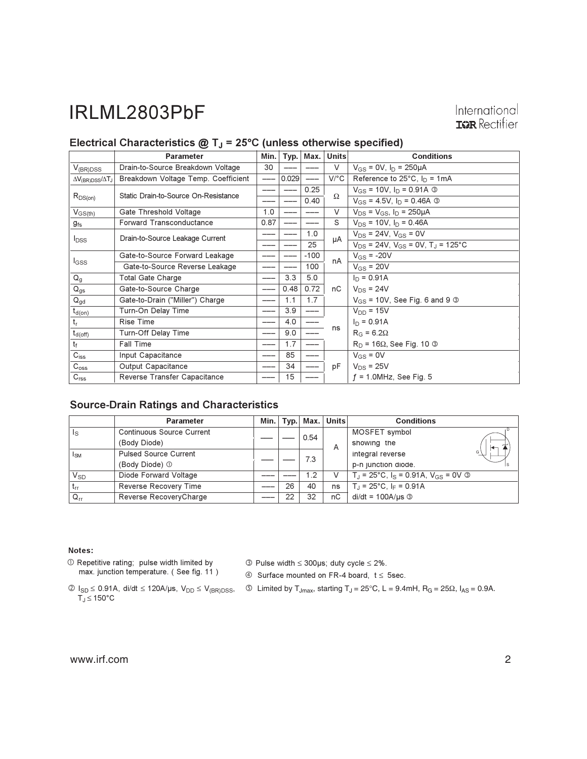#### Electrical Characteristics  $@T_J = 25°C$  (unless otherwise specified)

|                                           | <b>Parameter</b>                     | Min. | Typ.  | Max.   | <b>Units</b> | <b>Conditions</b>                                     |
|-------------------------------------------|--------------------------------------|------|-------|--------|--------------|-------------------------------------------------------|
| $V_{(BR)DSS}$                             | Drain-to-Source Breakdown Voltage    | 30   |       |        | $\vee$       | $V_{GS} = 0V$ , $I_D = 250 \mu A$                     |
| $\Delta V_{\rm (BR)DSS}/\Delta T_{\rm J}$ | Breakdown Voltage Temp. Coefficient  |      | 0.029 |        | $V$ /°C      | Reference to $25^{\circ}$ C, $I_{D} = 1 \text{mA}$    |
|                                           | Static Drain-to-Source On-Resistance |      |       | 0.25   | Ω            | $V_{GS}$ = 10V, $I_D$ = 0.91A ③                       |
| $R_{DS(on)}$                              |                                      |      |       | 0.40   |              | $V_{GS}$ = 4.5V, $I_D$ = 0.46A $\circledcirc$         |
| $V_{GS(th)}$                              | Gate Threshold Voltage               | 1.0  |       |        | V            | $V_{DS} = V_{GS}$ , $I_D = 250 \mu A$                 |
| $g_{\rm fs}$                              | <b>Forward Transconductance</b>      | 0.87 |       |        | S            | $V_{DS}$ = 10V, $I_D$ = 0.46A                         |
| $I_{DSS}$                                 | Drain-to-Source Leakage Current      |      |       | 1.0    | μA           | $V_{DS}$ = 24V, $V_{GS}$ = 0V                         |
|                                           |                                      |      |       | 25     |              | $V_{DS}$ = 24V, $V_{GS}$ = 0V, T <sub>J</sub> = 125°C |
|                                           | Gate-to-Source Forward Leakage       |      |       | $-100$ | nA           | $V_{GS}$ = -20V                                       |
| I <sub>GSS</sub>                          | Gate-to-Source Reverse Leakage       |      |       | 100    |              | $V_{GS}$ = 20V                                        |
| $Q_g$                                     | <b>Total Gate Charge</b>             |      | 3.3   | 5.0    |              | $I_D = 0.91A$                                         |
| $Q_{gs}$                                  | Gate-to-Source Charge                |      | 0.48  | 0.72   | nC           | $V_{DS}$ = 24V                                        |
| $Q_{gd}$                                  | Gate-to-Drain ("Miller") Charge      |      | 1.1   | 1.7    |              | $V_{GS}$ = 10V, See Fig. 6 and 9 $\circled{3}$        |
| $t_{d(on)}$                               | Turn-On Delay Time                   |      | 3.9   | ---    |              | $V_{DD} = 15V$                                        |
| t,                                        | <b>Rise Time</b>                     |      | 4.0   |        |              | $I_D = 0.91A$                                         |
| $t_{d(\text{off})}$                       | <b>Turn-Off Delay Time</b>           |      | 9.0   |        | ns           | $R_G = 6.2\Omega$                                     |
| tғ                                        | <b>Fall Time</b>                     |      | 1.7   | ---    |              | $R_D$ = 16 $\Omega$ , See Fig. 10 $\odot$             |
| $C_{iss}$                                 | Input Capacitance                    |      | 85    |        |              | $V_{GS} = 0V$                                         |
| $C_{\rm oss}$                             | Output Capacitance                   |      | 34    |        | рF           | $V_{DS}$ = 25V                                        |
| C <sub>rss</sub>                          | Reverse Transfer Capacitance         |      | 15    |        |              | $f = 1.0$ MHz, See Fig. 5                             |

#### **Source-Drain Ratings and Characteristics**

|                 | <b>Parameter</b>                 |     | $Min.$ Typ. $Mat.$ | <b>Units</b>        | <b>Conditions</b>                                            |
|-----------------|----------------------------------|-----|--------------------|---------------------|--------------------------------------------------------------|
| Is              | <b>Continuous Source Current</b> |     | 0.54               |                     | MOSFET symbol                                                |
|                 | (Body Diode)                     |     |                    | A                   | showing the                                                  |
| l <sub>SM</sub> | <b>Pulsed Source Current</b>     |     |                    |                     | G<br>integral reverse                                        |
|                 | (Body Diode) 1                   | 7.3 |                    | p-n junction diode. |                                                              |
| $V_{SD}$        | Diode Forward Voltage            |     | 1.2                | V                   | $T_{\rm J}$ = 25°C, $I_{\rm S}$ = 0.91A, $V_{\rm GS}$ = 0V © |
| $t_{rr}$        | Reverse Recovery Time            | 26  | 40                 | ns                  | $T_{\rm J}$ = 25°C, I <sub>F</sub> = 0.91A                   |
| $Q_{rr}$        | Reverse RecoveryCharge           | 22  | 32                 | nC                  | $di/dt = 100A/\mu s$ 3                                       |

#### Notes:

- 1 Repetitive rating; pulse width limited by max. junction temperature. (See fig. 11)
- $\circled{ }$  Pulse width  $\leq$  300µs; duty cycle  $\leq$  2%.
- 4 Surface mounted on FR-4 board,  $t \le 5$ sec.
- $T_J \leq 150^{\circ}$ C
- $\textcircled{1}_{SD} \leq 0.91 \text{A}, \text{ didt } \leq 120 \text{A/}\mu\text{s}, \text{ } V_{DD} \leq V_{(BR)DSS}, \quad \textcircled{3-Limited by } T_{Jmax}, \text{ starting } T_J = 25^{\circ}\text{C}, \text{ } L = 9.4 \text{mH}, \text{ } R_G = 25 \Omega, \text{ } I_{AS} = 0.9 \text{A}.$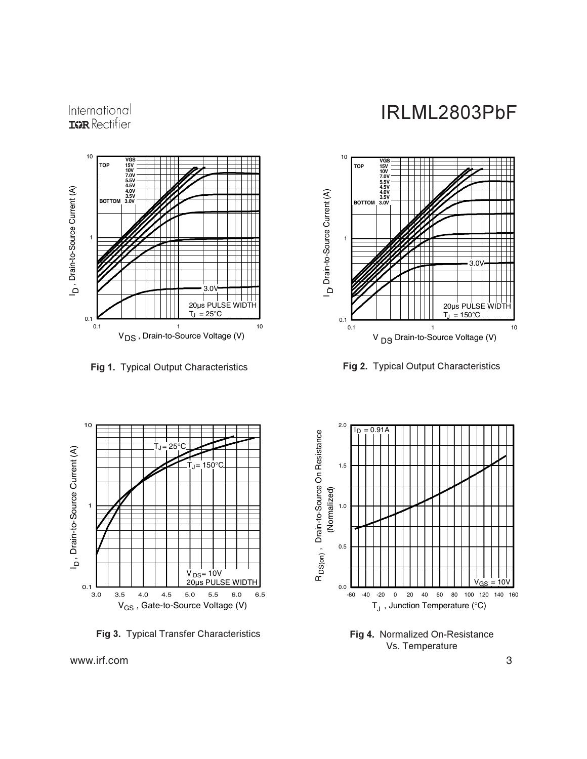

**Fig 1.** Typical Output Characteristics **Figure 1. 12.13 Figure 1.** 



IRLML2803PbF



g 2. Typical Output Characteristics



**Fig 3.** Typical Transfer Characteristics



**Fig 4. Normalized On-Resistance** Vs. Temperature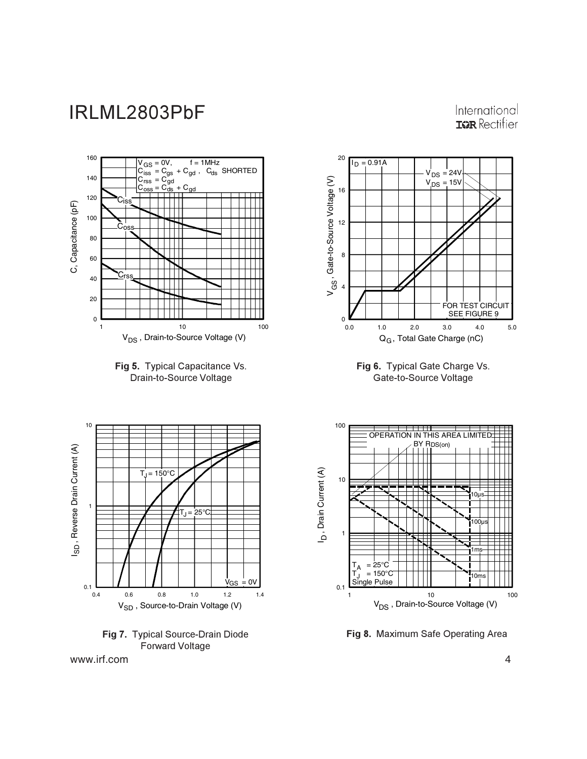#### International **IGR** Rectifier







www.irf.com 4



**Fig 6.** Typical Gate Charge Vs. Gate-to-Source Voltage



Fig 8. Maximum Safe Operating Area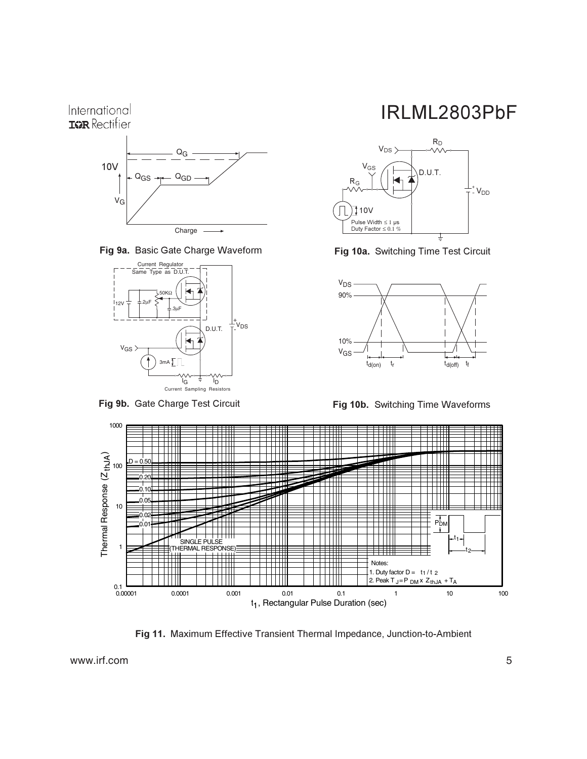

Fig 9a. Basic Gate Charge Waveform



Fig 9b. Gate Charge Test Circuit

### IRLML2803PbF



**Fig 10a.** Switching Time Test Circuit



**Fig 10b.** Switching Time Waveforms



Fig 11. Maximum Effective Transient Thermal Impedance, Junction-to-Ambient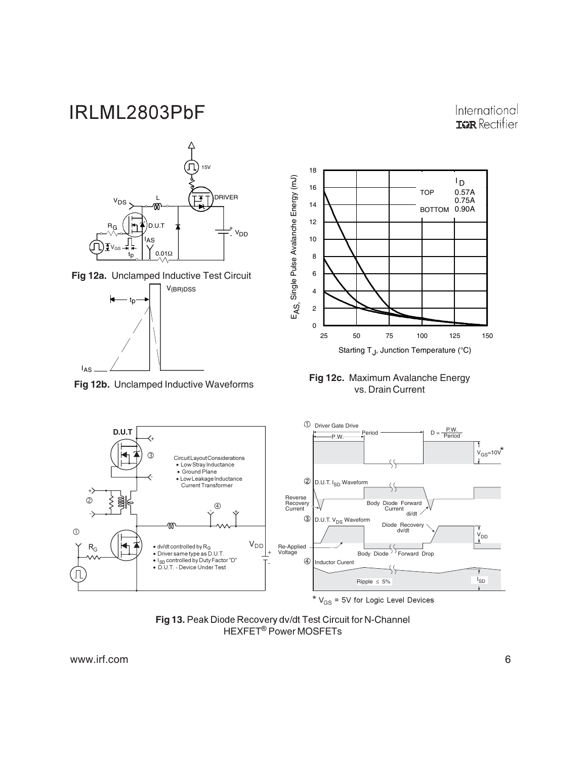International **IGR** Rectifier



\*  $V_{GS}$  = 5V for Logic Level Devices

Fig 13. Peak Diode Recovery dv/dt Test Circuit for N-Channel<br>HEXFET® Power MOSFETs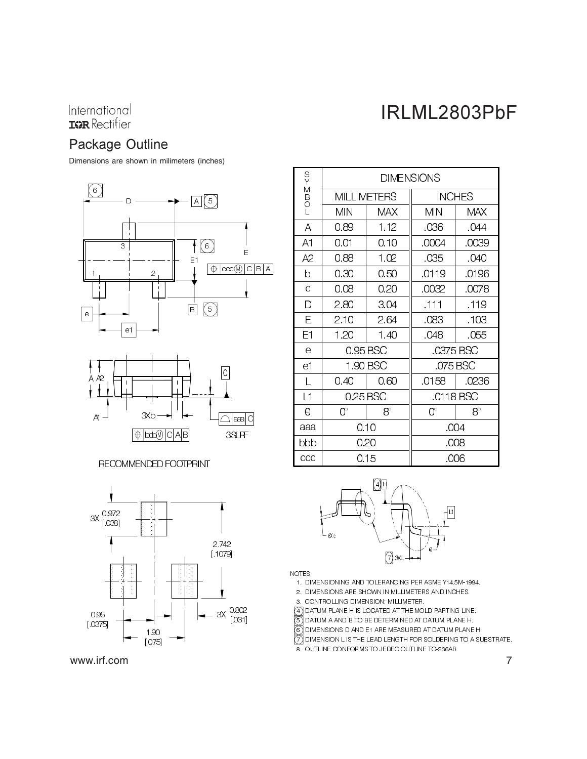## IRLML2803PbF

### Package Outline

Dimensions are shown in milimeters (inches)





RECOMMENDED FOOTPRINT



www.irf.com

| S<br>Y           | <b>DIMENSIONS</b> |                    |               |           |  |
|------------------|-------------------|--------------------|---------------|-----------|--|
| M<br>B<br>O<br>I |                   | <b>MILLIMETERS</b> | <b>INCHES</b> |           |  |
|                  | МN                | MAX                | MIN           | MAX       |  |
| A                | 0 89              | 1.12               | .036          | .044      |  |
| A1               | 0.01              | 0.10               | .0004         | .0039     |  |
| A2               | 0.88              | 1.02               | 035           | .040      |  |
| b                | 030               | 0.50               | 0119          | 0196      |  |
| Ċ                | 008               | 0.20               | 0032          | 0078      |  |
| D                | 2.80              | 304                | .111          | .119      |  |
| E                | 2.10              | 2.64               | .083          | .103      |  |
| E1               | 1.20              | 1.40               | .048          | .055      |  |
| e                |                   | 0.95 BSC           | 0375 BSC      |           |  |
| e1               |                   | 1.90 BSC           | 075 BSC       |           |  |
| L                | 040               | 0.60               | 0158          | 0236      |  |
| L1               | 0.25 BSC          |                    | 0118 BSC      |           |  |
| Θ                | $0^{\circ}$       | $8^\circ$          | 0°            | $8^\circ$ |  |
| aaa              |                   | 0.10               | .004          |           |  |
| bbb              | 0.20              |                    | .008          |           |  |
| $_{\rm ccc}$     |                   | 0.15               | .006          |           |  |





1. DIMENSIONING AND TOLERANCING PER ASME Y14.5M-1994.

- 2. DIMENSIONS ARE SHOWN IN MILLIMETERS AND INCHES.
- 3. CONTROLLING DIMENSION: MILLIMETER.

网 DATUM PLANE H IS LOCATED AT THE MOLD PARTING LINE.

DATUM A AND B TO BE DETERMINED AT DATUM PLANE H.

DIMENSIONS D AND E1 ARE MEASURED AT DATUM PLANE H.

Solok DIMENSION L IS THE LEAD LENGTH FOR SOLDERING TO A SUBSTRATE.

8. OUTLINE CONFORMS TO JEDEC OUTLINE TO-236AB.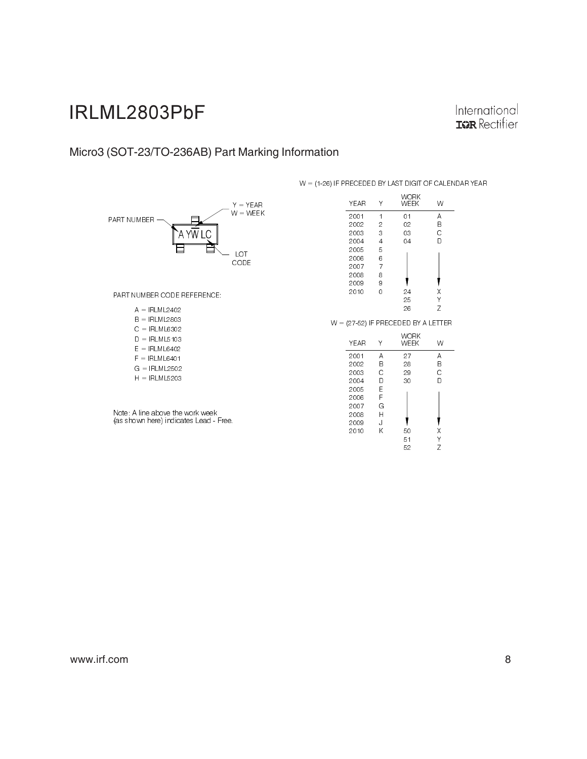International **IGR** Rectifier

### Micro3 (SOT-23/TO-236AB) Part Marking Information



Note: A line above the work week<br>(as shown here) indicates Lead - Free.

#### $W = (1-26)$  IF PRECEDED BY LAST DIGIT OF CALENDAR YEAR

| YEAR | Υ | WORK<br>WEEK | W |
|------|---|--------------|---|
| 2001 | 1 | 01           | А |
| 2002 | 2 | 02           | В |
| 2003 | 3 | 03           | Ć |
| 2004 | 4 | 04           | D |
| 2005 | 5 |              |   |
| 2006 | 6 |              |   |
| 2007 | 7 |              |   |
| 2008 | 8 |              |   |
| 2009 | 9 |              |   |
| 2010 | ი | 24           | χ |
|      |   | 25           |   |
|      |   | 26           | 7 |

 $W = (27-52)$  IF PRECEDED BY A LETTER

| <b>YEAR</b> |    | WORK<br>WEEK | W |
|-------------|----|--------------|---|
| 2001        | Α  | 27           | А |
| 2002        | B  | 28           | В |
| 2003        | Ć  | 29           | Ć |
| 2004        | D  | 30           | D |
| 2005        | Е  |              |   |
| 2006        | F  |              |   |
| 2007        | G  |              |   |
| 2008        | H  |              |   |
| 2009        | ۱. |              |   |
| 2010        | Κ  | 50           | Χ |
|             |    | 51           | Υ |
|             |    | 52           | Z |